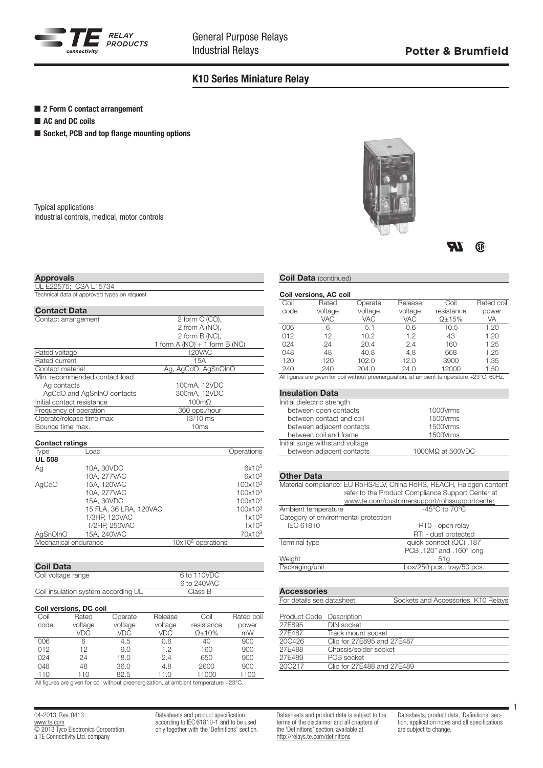

## K10 Series Miniature Relay

- 2 Form C contact arrangement
- AC and DC coils

Approvals

UL E22575; CSA L15734

■ Socket, PCB and top flange mounting options

Typical applications Industrial controls, medical, motor controls



**TT** ®

# **Coil Data (continued)** Coil versions, AC coil

| Technical data of approved types on request |                                 |
|---------------------------------------------|---------------------------------|
| <b>Contact Data</b>                         |                                 |
| Contact arrangement                         | 2 form C (CO),                  |
|                                             | 2 from A (NO),                  |
|                                             | 2 form B (NC),                  |
|                                             | 1 form $A(NO) + 1$ form $B(NC)$ |
| Rated voltage                               | 120VAC                          |
| Rated current                               | 15A                             |
| Contact material                            | Ag, AgCdO, AgSnOInO             |
| Min. recommended contact load               |                                 |
| Ag contacts                                 | 100mA, 12VDC                    |
| AgCdO and AgSnInO contacts                  | 300mA, 12VDC                    |
| Initial contact resistance                  | $100 \text{m}\Omega$            |
| Frequency of operation                      | 360 ops./hour                   |
| Operate/release time max.                   | 13/10 ms                        |

Bounce time max. 10ms

| <b>Contact ratings</b> |                        |                           |                     |  |  |  |  |
|------------------------|------------------------|---------------------------|---------------------|--|--|--|--|
| Type                   | Load                   |                           | Operations          |  |  |  |  |
| <b>UL 508</b>          |                        |                           |                     |  |  |  |  |
| Ag                     | 10A, 30VDC             |                           | 6x10 <sup>3</sup>   |  |  |  |  |
|                        | 10A, 277VAC            |                           | 6x10 <sup>3</sup>   |  |  |  |  |
| AgCdO                  | 15A, 120VAC            |                           | 100x10 <sup>3</sup> |  |  |  |  |
|                        | 10A. 277VAC            |                           | $100x10^3$          |  |  |  |  |
|                        | 15A, 30VDC             |                           | 100x10 <sup>3</sup> |  |  |  |  |
|                        | 15 FLA, 36 LRA, 120VAC |                           | 100x10 <sup>3</sup> |  |  |  |  |
|                        | 1/3HP, 120VAC          |                           | 1x10 <sup>3</sup>   |  |  |  |  |
|                        | 1/2HP, 250VAC          |                           | 1x10 <sup>3</sup>   |  |  |  |  |
| AgSnOInO               | 15A, 240VAC            |                           | 70x10 <sup>3</sup>  |  |  |  |  |
| Mechanical endurance   |                        | $10\times10^6$ operations |                     |  |  |  |  |

| <b>Coil Data</b>                    |             |  |
|-------------------------------------|-------------|--|
| Coil voltage range                  | 6 to 110VDC |  |
|                                     | 6 to 240VAC |  |
| Coil insulation system according UL | Class B     |  |
|                                     |             |  |

#### Coil versions, DC coil

| Coil | Rated   | Operate | Release | Coil           | Rated coil |
|------|---------|---------|---------|----------------|------------|
| code | voltage | voltage | voltage | resistance     | power      |
|      | VDC     | VDC     | VDC     | $\Omega$ + 10% | mW         |
| 006  | 6       | 4.5     | 0.6     | 40             | 900        |
| 012  | 12      | 9.0     | 1.2     | 160            | 900        |
| 024  | 24      | 18.0    | 2.4     | 650            | 900        |
| 048  | 48      | 36.0    | 4.8     | 2600           | 900        |
| 110  | 110     | 82.5    | 11.0    | 11000          | 1100       |

All figures are given for coil without preenergization, at ambient temperature +23°C.

04-2013, Rev. 0413 www.te.com © 2013 Tyco Electronics Corporation, a TE Connectivity Ltd. company

Datasheets and product specification according to IEC 61810-1 and to be used only together with the 'Definitions' section.

| Coil                                          | Rated                           | Operate    | Release               | Coil                                                                                        | Rated coil |  |  |  |
|-----------------------------------------------|---------------------------------|------------|-----------------------|---------------------------------------------------------------------------------------------|------------|--|--|--|
| code                                          | voltage                         | voltage    | resistance<br>voltage |                                                                                             | power      |  |  |  |
|                                               | <b>VAC</b>                      | <b>VAC</b> | <b>VAC</b>            | $\Omega$ +15%                                                                               | VA         |  |  |  |
| 006                                           | 6                               | 5.1        | 0.6                   | 10.5                                                                                        | 1.20       |  |  |  |
| 012                                           | 12                              | 10.2       | 1.2                   | 43                                                                                          | 1.20       |  |  |  |
| 024                                           | 24                              | 20.4       | 2.4                   | 160                                                                                         | 1.25       |  |  |  |
| 048                                           | 48                              | 40.8       | 4.8                   | 668                                                                                         | 1.25       |  |  |  |
| 120                                           | 120                             | 102.0      | 12.0                  | 3900                                                                                        | 1.35       |  |  |  |
| 240                                           | 240                             | 204.0      | 24.0                  | 12000                                                                                       | 1.50       |  |  |  |
|                                               |                                 |            |                       | All figures are given for coil without preenergization, at ambient temperature +23°C, 60Hz. |            |  |  |  |
|                                               |                                 |            |                       |                                                                                             |            |  |  |  |
|                                               | <b>Insulation Data</b>          |            |                       |                                                                                             |            |  |  |  |
|                                               | Initial dielectric strength     |            |                       |                                                                                             |            |  |  |  |
|                                               | between open contacts           |            |                       | 1000Vrms                                                                                    |            |  |  |  |
|                                               | between contact and coil        |            |                       | 1500Vrms                                                                                    |            |  |  |  |
|                                               | between adjacent contacts       |            | 1500Vrms              |                                                                                             |            |  |  |  |
|                                               | between coil and frame          |            |                       | 1500Vrms                                                                                    |            |  |  |  |
|                                               | Initial surge withstand voltage |            |                       |                                                                                             |            |  |  |  |
| between adjacent contacts<br>1000MΩ at 500VDC |                                 |            |                       |                                                                                             |            |  |  |  |

### Other Data

| Material compliance: EU RoHS/ELV, China RoHS, REACH, Halogen content |                                              |  |  |  |  |  |
|----------------------------------------------------------------------|----------------------------------------------|--|--|--|--|--|
| refer to the Product Compliance Support Center at                    |                                              |  |  |  |  |  |
|                                                                      | www.te.com/customersupport/rohssupportcenter |  |  |  |  |  |
| Ambient temperature                                                  | $-45^{\circ}$ C to $70^{\circ}$ C            |  |  |  |  |  |
| Category of environmental protection                                 |                                              |  |  |  |  |  |
| <b>IEC 61810</b>                                                     | RT0 - open relay                             |  |  |  |  |  |
|                                                                      | RTI - dust protected                         |  |  |  |  |  |
| Terminal type                                                        | quick connect (QC) .187                      |  |  |  |  |  |
|                                                                      | PCB .120" and .160" long                     |  |  |  |  |  |
| Weight                                                               | 51q                                          |  |  |  |  |  |
| Packaging/unit                                                       | box/250 pcs., tray/50 pcs.                   |  |  |  |  |  |
|                                                                      |                                              |  |  |  |  |  |
|                                                                      |                                              |  |  |  |  |  |
|                                                                      |                                              |  |  |  |  |  |

**Accessories**<br>For details see o

| For details see datasheet | Sockets and Accessories, K10 Relays |
|---------------------------|-------------------------------------|
|                           |                                     |

| Product Code Description   |
|----------------------------|
| DIN socket                 |
| Track mount socket         |
| Clip for 27E895 and 27E487 |
| Chassis/solder socket      |
| PCB socket                 |
| Clip for 27E488 and 27E489 |
|                            |

Datasheets and product data is subject to the terms of the disclaimer and all chapters of the 'Definitions' section, available at http://relays.te.com/definitions

Datasheets, product data, 'Definitions' section, application notes and all specifications are subject to change.

1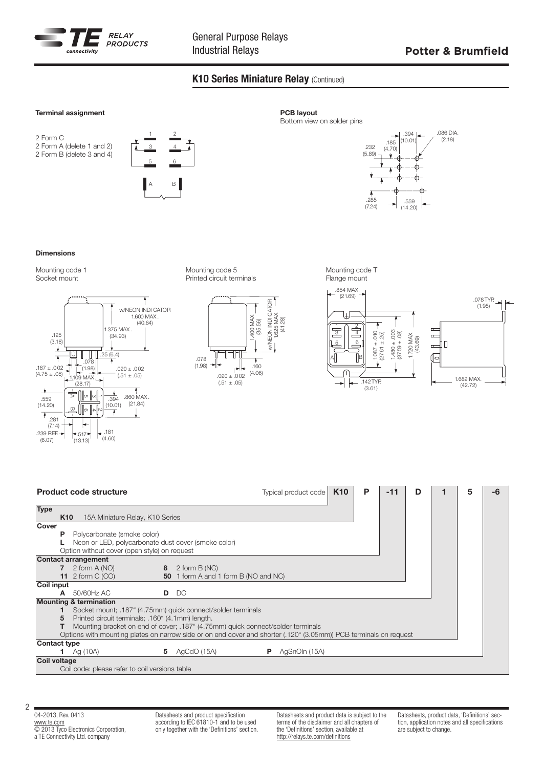

## K10 Series Miniature Relay (Continued)

#### Terminal assignment

2 Form C 2 Form A (delete 1 and 2) 2 Form B (delete 3 and 4)



### PCB layout

Bottom view on solder pins



#### Dimensions

Mounting code 1 Socket mount



Mounting code 5 Printed circuit terminals



Mounting code T Flange mount



|                     |                 | <b>Product code structure</b>                       |   |                                                                                                                   | Typical product code | K <sub>10</sub> | P | $-11$ | D | 5 |  |
|---------------------|-----------------|-----------------------------------------------------|---|-------------------------------------------------------------------------------------------------------------------|----------------------|-----------------|---|-------|---|---|--|
| <b>Type</b>         | K <sub>10</sub> | 15A Miniature Relay, K10 Series                     |   |                                                                                                                   |                      |                 |   |       |   |   |  |
| Cover               |                 |                                                     |   |                                                                                                                   |                      |                 |   |       |   |   |  |
|                     | P               | Polycarbonate (smoke color)                         |   |                                                                                                                   |                      |                 |   |       |   |   |  |
|                     |                 | Neon or LED, polycarbonate dust cover (smoke color) |   |                                                                                                                   |                      |                 |   |       |   |   |  |
|                     |                 | Option without cover (open style) on request        |   |                                                                                                                   |                      |                 |   |       |   |   |  |
|                     |                 | <b>Contact arrangement</b>                          |   |                                                                                                                   |                      |                 |   |       |   |   |  |
|                     |                 | 2 form A (NO)                                       |   | 8 $2$ form B (NC)                                                                                                 |                      |                 |   |       |   |   |  |
|                     |                 | 11 2 form $C(OO)$                                   |   | 50 1 form A and 1 form B (NO and NC)                                                                              |                      |                 |   |       |   |   |  |
| <b>Coil input</b>   |                 |                                                     |   |                                                                                                                   |                      |                 |   |       |   |   |  |
|                     | A               | 50/60Hz AC                                          |   | D DC                                                                                                              |                      |                 |   |       |   |   |  |
|                     |                 | <b>Mounting &amp; termination</b>                   |   |                                                                                                                   |                      |                 |   |       |   |   |  |
|                     |                 |                                                     |   | Socket mount; .187" (4.75mm) quick connect/solder terminals                                                       |                      |                 |   |       |   |   |  |
|                     | 5               | Printed circuit terminals; .160" (4.1mm) length.    |   |                                                                                                                   |                      |                 |   |       |   |   |  |
|                     |                 |                                                     |   | Mounting bracket on end of cover; .187" (4.75mm) quick connect/solder terminals                                   |                      |                 |   |       |   |   |  |
|                     |                 |                                                     |   | Options with mounting plates on narrow side or on end cover and shorter (.120" (3.05mm)) PCB terminals on request |                      |                 |   |       |   |   |  |
| <b>Contact type</b> |                 |                                                     |   |                                                                                                                   |                      |                 |   |       |   |   |  |
|                     |                 | Ag (10A)                                            | 5 | AgCdO (15A)<br>P.                                                                                                 | AgSnOIn (15A)        |                 |   |       |   |   |  |
| <b>Coil voltage</b> |                 |                                                     |   |                                                                                                                   |                      |                 |   |       |   |   |  |
|                     |                 | Coil code: please refer to coil versions table      |   |                                                                                                                   |                      |                 |   |       |   |   |  |

04-2013, Rev. 0413 www.te.com © 2013 Tyco Electronics Corporation, a TE Connectivity Ltd. company

Datasheets and product specification according to IEC 61810-1 and to be used only together with the 'Definitions' section. Datasheets and product data is subject to the terms of the disclaimer and all chapters of the 'Definitions' section, available at http://relays.te.com/definitions

Datasheets, product data, 'Definitions' section, application notes and all specifications are subject to change.